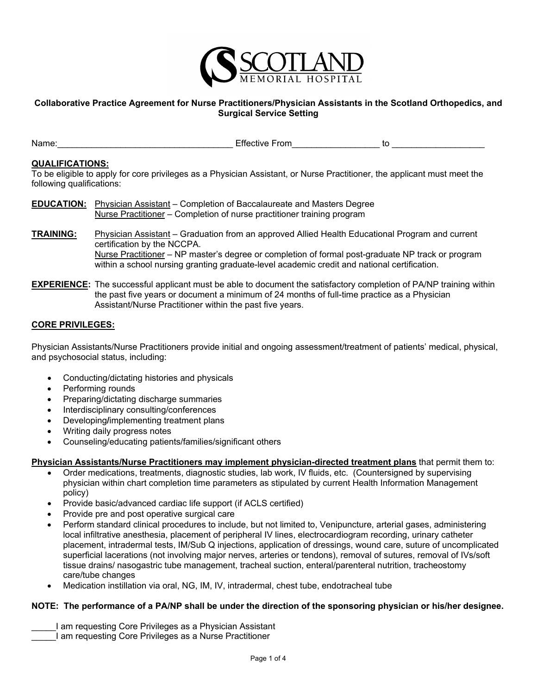

# **Collaborative Practice Agreement for Nurse Practitioners/Physician Assistants in the Scotland Orthopedics, and Surgical Service Setting**

Name: where the contract of the Effective From the contract of the contract of the contract of the contract of the contract of the contract of the contract of the contract of the contract of the contract of the contract of

## **QUALIFICATIONS:**

To be eligible to apply for core privileges as a Physician Assistant, or Nurse Practitioner, the applicant must meet the following qualifications:

- **EDUCATION:** Physician Assistant Completion of Baccalaureate and Masters Degree Nurse Practitioner – Completion of nurse practitioner training program
- **TRAINING:** Physician Assistant Graduation from an approved Allied Health Educational Program and current certification by the NCCPA. Nurse Practitioner – NP master's degree or completion of formal post-graduate NP track or program within a school nursing granting graduate-level academic credit and national certification.
- **EXPERIENCE:** The successful applicant must be able to document the satisfactory completion of PA/NP training within the past five years or document a minimum of 24 months of full-time practice as a Physician Assistant/Nurse Practitioner within the past five years.

# **CORE PRIVILEGES:**

Physician Assistants/Nurse Practitioners provide initial and ongoing assessment/treatment of patients' medical, physical, and psychosocial status, including:

- Conducting/dictating histories and physicals
- Performing rounds
- Preparing/dictating discharge summaries
- Interdisciplinary consulting/conferences
- Developing**/**implementing treatment plans
- Writing daily progress notes
- Counseling/educating patients/families/significant others

### **Physician Assistants/Nurse Practitioners may implement physician-directed treatment plans** that permit them to:

- Order medications, treatments, diagnostic studies, lab work, IV fluids, etc. (Countersigned by supervising physician within chart completion time parameters as stipulated by current Health Information Management policy)
- Provide basic/advanced cardiac life support (if ACLS certified)
- Provide pre and post operative surgical care
- Perform standard clinical procedures to include, but not limited to, Venipuncture, arterial gases, administering local infiltrative anesthesia, placement of peripheral IV lines, electrocardiogram recording, urinary catheter placement, intradermal tests, IM/Sub Q injections, application of dressings, wound care, suture of uncomplicated superficial lacerations (not involving major nerves, arteries or tendons), removal of sutures, removal of IVs/soft tissue drains/ nasogastric tube management, tracheal suction, enteral/parenteral nutrition, tracheostomy care/tube changes
- Medication instillation via oral, NG, IM, IV, intradermal, chest tube, endotracheal tube

### **NOTE: The performance of a PA/NP shall be under the direction of the sponsoring physician or his/her designee.**

- I am requesting Core Privileges as a Physician Assistant
- \_\_\_\_\_I am requesting Core Privileges as a Nurse Practitioner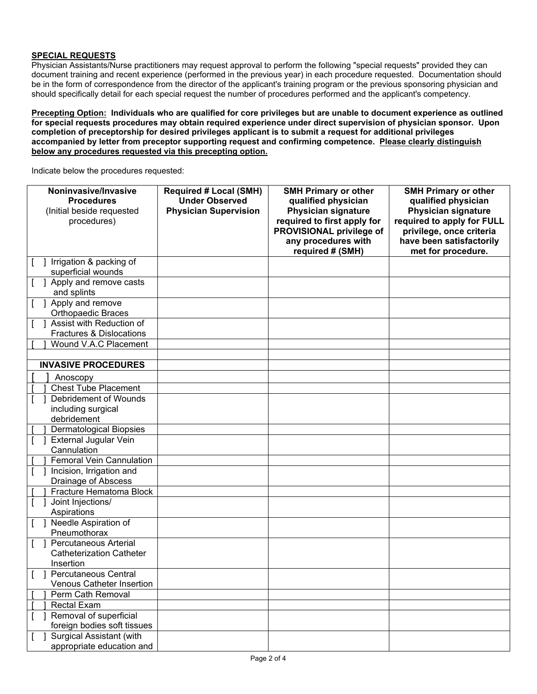### **SPECIAL REQUESTS**

Physician Assistants/Nurse practitioners may request approval to perform the following "special requests" provided they can document training and recent experience (performed in the previous year) in each procedure requested. Documentation should be in the form of correspondence from the director of the applicant's training program or the previous sponsoring physician and should specifically detail for each special request the number of procedures performed and the applicant's competency.

**Precepting Option: Individuals who are qualified for core privileges but are unable to document experience as outlined for special requests procedures may obtain required experience under direct supervision of physician sponsor. Upon completion of preceptorship for desired privileges applicant is to submit a request for additional privileges accompanied by letter from preceptor supporting request and confirming competence. Please clearly distinguish below any procedures requested via this precepting option.**

Indicate below the procedures requested:

| Noninvasive/Invasive<br><b>Procedures</b><br>(Initial beside requested<br>procedures) | <b>Required # Local (SMH)</b><br><b>Under Observed</b><br><b>Physician Supervision</b> | <b>SMH Primary or other</b><br>qualified physician<br><b>Physician signature</b><br>required to first apply for | <b>SMH Primary or other</b><br>qualified physician<br><b>Physician signature</b><br>required to apply for FULL |
|---------------------------------------------------------------------------------------|----------------------------------------------------------------------------------------|-----------------------------------------------------------------------------------------------------------------|----------------------------------------------------------------------------------------------------------------|
|                                                                                       |                                                                                        | PROVISIONAL privilege of<br>any procedures with<br>required # (SMH)                                             | privilege, once criteria<br>have been satisfactorily<br>met for procedure.                                     |
| Irrigation & packing of<br>superficial wounds                                         |                                                                                        |                                                                                                                 |                                                                                                                |
| 1 Apply and remove casts<br>and splints                                               |                                                                                        |                                                                                                                 |                                                                                                                |
| Apply and remove<br><b>Orthopaedic Braces</b>                                         |                                                                                        |                                                                                                                 |                                                                                                                |
| Assist with Reduction of<br><b>Fractures &amp; Dislocations</b>                       |                                                                                        |                                                                                                                 |                                                                                                                |
| Wound V.A.C Placement                                                                 |                                                                                        |                                                                                                                 |                                                                                                                |
| <b>INVASIVE PROCEDURES</b>                                                            |                                                                                        |                                                                                                                 |                                                                                                                |
| Anoscopy                                                                              |                                                                                        |                                                                                                                 |                                                                                                                |
| <b>Chest Tube Placement</b>                                                           |                                                                                        |                                                                                                                 |                                                                                                                |
| Debridement of Wounds                                                                 |                                                                                        |                                                                                                                 |                                                                                                                |
| including surgical                                                                    |                                                                                        |                                                                                                                 |                                                                                                                |
| debridement                                                                           |                                                                                        |                                                                                                                 |                                                                                                                |
| <b>Dermatological Biopsies</b>                                                        |                                                                                        |                                                                                                                 |                                                                                                                |
| <b>External Jugular Vein</b><br>Cannulation                                           |                                                                                        |                                                                                                                 |                                                                                                                |
| <b>Femoral Vein Cannulation</b>                                                       |                                                                                        |                                                                                                                 |                                                                                                                |
| Incision, Irrigation and<br>Drainage of Abscess                                       |                                                                                        |                                                                                                                 |                                                                                                                |
| Fracture Hematoma Block                                                               |                                                                                        |                                                                                                                 |                                                                                                                |
| Joint Injections/<br>Aspirations                                                      |                                                                                        |                                                                                                                 |                                                                                                                |
| Needle Aspiration of                                                                  |                                                                                        |                                                                                                                 |                                                                                                                |
| Pneumothorax<br><b>Percutaneous Arterial</b>                                          |                                                                                        |                                                                                                                 |                                                                                                                |
| <b>Catheterization Catheter</b>                                                       |                                                                                        |                                                                                                                 |                                                                                                                |
| Insertion                                                                             |                                                                                        |                                                                                                                 |                                                                                                                |
| <b>Percutaneous Central</b>                                                           |                                                                                        |                                                                                                                 |                                                                                                                |
| <b>Venous Catheter Insertion</b>                                                      |                                                                                        |                                                                                                                 |                                                                                                                |
| Perm Cath Removal                                                                     |                                                                                        |                                                                                                                 |                                                                                                                |
| <b>Rectal Exam</b>                                                                    |                                                                                        |                                                                                                                 |                                                                                                                |
| Removal of superficial<br>foreign bodies soft tissues                                 |                                                                                        |                                                                                                                 |                                                                                                                |
| <b>Surgical Assistant (with</b>                                                       |                                                                                        |                                                                                                                 |                                                                                                                |
| appropriate education and                                                             |                                                                                        |                                                                                                                 |                                                                                                                |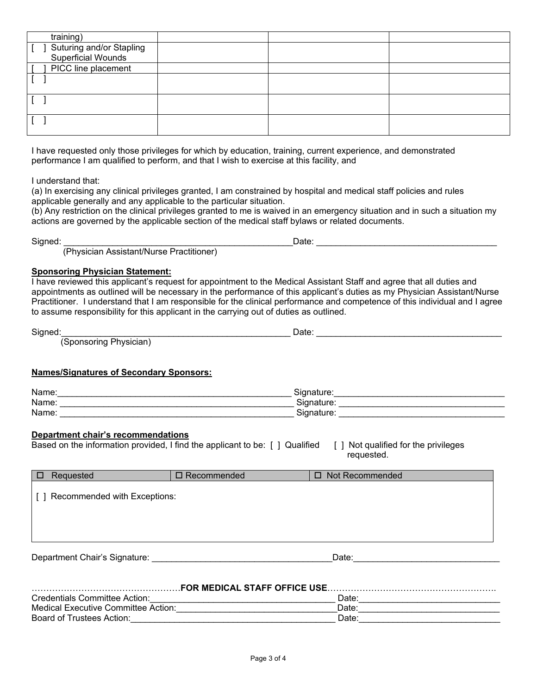| training)                                        |  |  |
|--------------------------------------------------|--|--|
| J Suturing and/or Stapling<br>Superficial Wounds |  |  |
|                                                  |  |  |
| PICC line placement                              |  |  |
|                                                  |  |  |
|                                                  |  |  |
|                                                  |  |  |
|                                                  |  |  |
|                                                  |  |  |
|                                                  |  |  |

I have requested only those privileges for which by education, training, current experience, and demonstrated performance I am qualified to perform, and that I wish to exercise at this facility, and

I understand that:

(a) In exercising any clinical privileges granted, I am constrained by hospital and medical staff policies and rules applicable generally and any applicable to the particular situation.

(b) Any restriction on the clinical privileges granted to me is waived in an emergency situation and in such a situation my actions are governed by the applicable section of the medical staff bylaws or related documents.

Signed: \_\_\_\_\_\_\_\_\_\_\_\_\_\_\_\_\_\_\_\_\_\_\_\_\_\_\_\_\_\_\_\_\_\_\_\_\_\_\_\_\_\_\_\_\_\_\_Date: \_\_\_\_\_\_\_\_\_\_\_\_\_\_\_\_\_\_\_\_\_\_\_\_\_\_\_\_\_\_\_\_\_\_\_\_\_

(Physician Assistant/Nurse Practitioner)

#### **Sponsoring Physician Statement:**

I have reviewed this applicant's request for appointment to the Medical Assistant Staff and agree that all duties and appointments as outlined will be necessary in the performance of this applicant's duties as my Physician Assistant/Nurse Practitioner. I understand that I am responsible for the clinical performance and competence of this individual and I agree to assume responsibility for this applicant in the carrying out of duties as outlined.

| Signed                                    | Dale |  |
|-------------------------------------------|------|--|
| . הורי<br>Shoneoring Dhueician)<br>$\sim$ |      |  |

(Sponsoring Physician)

#### **Names/Signatures of Secondary Sponsors:**

| Name: | <b>.</b><br>…atur∈<br>siana        |
|-------|------------------------------------|
| Name: | <b>.</b><br>`ionod<br>.<br>. .     |
| Name: | <b>.</b><br>idna'<br><br>.idlUite. |

### **Department chair's recommendations**

| Based on the information provided, I find the applicant to be: [ ] Qualified [ ] Not qualified for the privileges |            |
|-------------------------------------------------------------------------------------------------------------------|------------|
|                                                                                                                   | reguested. |

| Requested                    | □ Recommended | Not Recommended<br>п. |  |
|------------------------------|---------------|-----------------------|--|
| Recommended with Exceptions: |               |                       |  |
|                              |               |                       |  |
|                              |               |                       |  |

Department Chair's Signature: \_\_\_\_\_\_\_\_\_\_\_\_\_\_\_\_\_\_\_\_\_\_\_\_\_\_\_\_\_\_\_\_\_\_\_\_\_Date:\_\_\_\_\_\_\_\_\_\_\_\_\_\_\_\_\_\_\_\_\_\_\_\_\_\_\_\_\_\_

| <b>FOR MEDICAL STAFF OFFICE USE.</b> |       |  |  |
|--------------------------------------|-------|--|--|
| Credentials Committee Action:        | Date: |  |  |
| Medical Executive Committee Action:  | Date: |  |  |
| Board of Trustees Action:            | Date: |  |  |